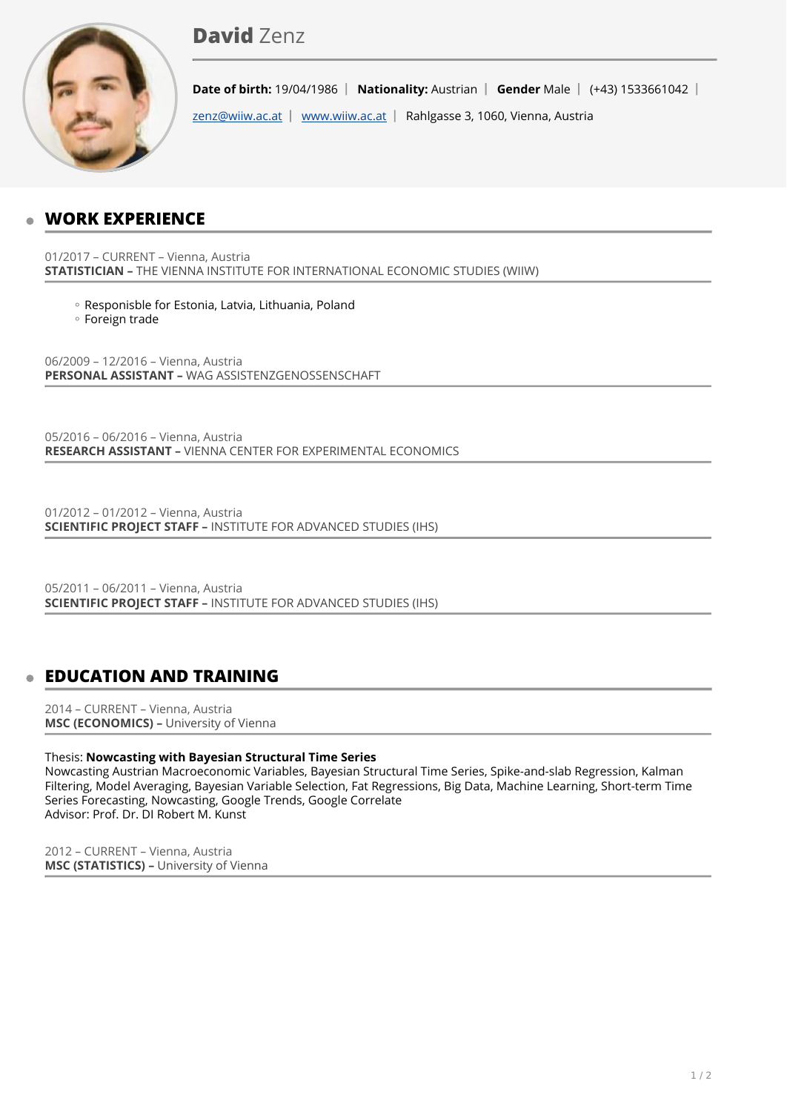# David **Zenz**



**Date of birth:** 19/04/1986 | Nationality: Austrian | Gender Male | (+43) 1533661042 |

[zenz@wiiw.ac.at](mailto:zenz@wiiw.ac.at) | [www.wiiw.ac.at](http://www.wiiw.ac.at) | Rahlgasse 3, 1060, Vienna, Austria

# **WORK EXPERIENCE**

01/2017 – CURRENT – Vienna, Austria **STATISTICIAN –** THE VIENNA INSTITUTE FOR INTERNATIONAL ECONOMIC STUDIES (WIIW)

Responisble for Estonia, Latvia, Lithuania, Poland ◦

Foreign trade ◦

06/2009 – 12/2016 – Vienna, Austria **PERSONAL ASSISTANT –** WAG ASSISTENZGENOSSENSCHAFT

05/2016 – 06/2016 – Vienna, Austria **RESEARCH ASSISTANT –** VIENNA CENTER FOR EXPERIMENTAL ECONOMICS

01/2012 – 01/2012 – Vienna, Austria **SCIENTIFIC PROJECT STAFF –** INSTITUTE FOR ADVANCED STUDIES (IHS)

05/2011 – 06/2011 – Vienna, Austria **SCIENTIFIC PROJECT STAFF –** INSTITUTE FOR ADVANCED STUDIES (IHS)

# **EDUCATION AND TRAINING**

2014 – CURRENT – Vienna, Austria **MSC (ECONOMICS) –** University of Vienna

### Thesis: **Nowcasting with Bayesian Structural Time Series**

Nowcasting Austrian Macroeconomic Variables, Bayesian Structural Time Series, Spike-and-slab Regression, Kalman Filtering, Model Averaging, Bayesian Variable Selection, Fat Regressions, Big Data, Machine Learning, Short-term Time Series Forecasting, Nowcasting, Google Trends, Google Correlate Advisor: Prof. Dr. DI Robert M. Kunst

2012 – CURRENT – Vienna, Austria **MSC (STATISTICS) –** University of Vienna